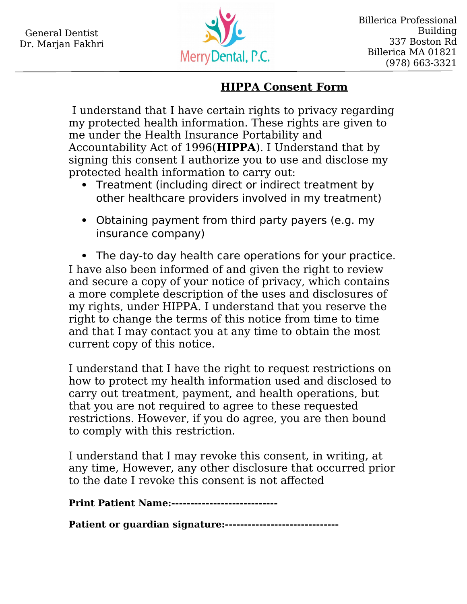

## **HIPPA Consent Form**

 I understand that I have certain rights to privacy regarding my protected health information. These rights are given to me under the Health Insurance Portability and Accountability Act of 1996(**HIPPA**). I Understand that by signing this consent I authorize you to use and disclose my protected health information to carry out:

- Treatment (including direct or indirect treatment by other healthcare providers involved in my treatment)
- Obtaining payment from third party payers (e.g. my insurance company)

 The day-to day health care operations for your practice. I have also been informed of and given the right to review and secure a copy of your notice of privacy, which contains a more complete description of the uses and disclosures of my rights, under HIPPA. I understand that you reserve the right to change the terms of this notice from time to time and that I may contact you at any time to obtain the most current copy of this notice.

I understand that I have the right to request restrictions on how to protect my health information used and disclosed to carry out treatment, payment, and health operations, but that you are not required to agree to these requested restrictions. However, if you do agree, you are then bound to comply with this restriction.

I understand that I may revoke this consent, in writing, at any time, However, any other disclosure that occurred prior to the date I revoke this consent is not affected

**Print Patient Name:----------------------------**

**Patient or guardian signature:------------------------------**